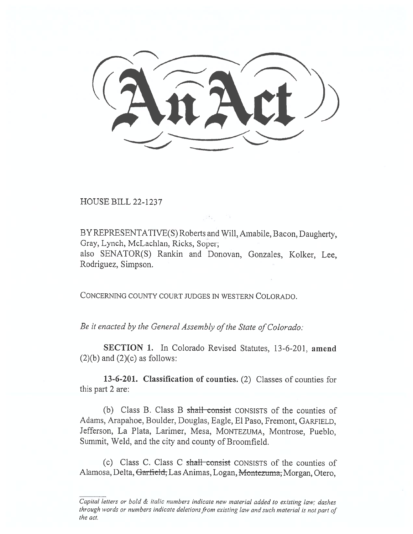HOUSE BILL 22-1237

BY REPRESENTATIVE(S) Roberts and Will, Amabile, Bacon, Daugherty, Gray, Lynch, McLachlan, Ricks, Soper; also SENATOR(S) Rankin and Donovan, Gonzales, Kolker, Lee, Rodriguez, Simpson.

CONCERNING COUNTY COURT JUDGES IN WESTERN COLORADO.

Be it enacted by the General Assembly of the State of Colorado:

SECTION 1. In Colorado Revised Statutes, 13-6-201, amend  $(2)(b)$  and  $(2)(c)$  as follows:

13-6-201. Classification of counties. (2) Classes of counties for this part 2 are:

(b) Class B. Class B shall consist CONSISTS of the counties of Adams, Arapahoe, Boulder, Douglas, Eagle, El Paso, Fremont, GARFIELD, Jefferson, La Plata, Larimer, Mesa, MONTEZUMA, Montrose, Pueblo, Summit, Weld, and the city and county of Broomfield.

(c) Class C. Class C shall consist CONSISTS of the counties of Alamosa, Delta, Garfield, Las Animas, Logan, Montezuma, Morgan, Otero,

Capital letters or bold & italic numbers indicate new material added to existing law; dashes through words or numbers indicate deletions from existing law and such material is not part of the act.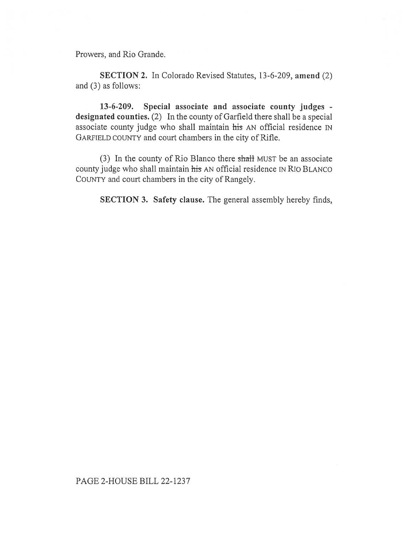Prowers, and Rio Grande.

SECTION 2. In Colorado Revised Statutes, 13-6-209, amend (2) and (3) as follows:

13-6-209. Special associate and associate county judges designated counties. (2) In the county of Garfield there shall be a special associate county judge who shall maintain his AN official residence IN GARFIELD COUNTY and court chambers in the city of Rifle.

(3) In the county of Rio Blanco there shall MUST be an associate county judge who shall maintain his AN official residence IN Rio BLANCO COUNTY and court chambers in the city of Rangely.

SECTION 3. Safety clause. The general assembly hereby finds,